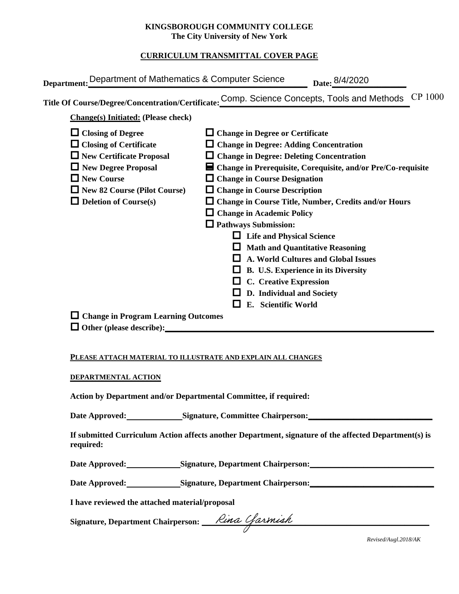### **KINGSBOROUGH COMMUNITY COLLEGE The City University of New York**

# **CURRICULUM TRANSMITTAL COVER PAGE**

| Title Of Course/Degree/Concentration/Certificate: Comp. Science Concepts, Tools and Methods<br><b>Change(s)</b> Initiated: (Please check)                                                                                                                                                                                                                                                                                                                                                                                                                                                                                                                                                                                                                                                                                                                                                                                                                          | Department: Department of Mathematics & Computer Science | Date: 8/4/2020 |
|--------------------------------------------------------------------------------------------------------------------------------------------------------------------------------------------------------------------------------------------------------------------------------------------------------------------------------------------------------------------------------------------------------------------------------------------------------------------------------------------------------------------------------------------------------------------------------------------------------------------------------------------------------------------------------------------------------------------------------------------------------------------------------------------------------------------------------------------------------------------------------------------------------------------------------------------------------------------|----------------------------------------------------------|----------------|
|                                                                                                                                                                                                                                                                                                                                                                                                                                                                                                                                                                                                                                                                                                                                                                                                                                                                                                                                                                    |                                                          | CP 1000        |
|                                                                                                                                                                                                                                                                                                                                                                                                                                                                                                                                                                                                                                                                                                                                                                                                                                                                                                                                                                    |                                                          |                |
| $\Box$ Closing of Degree<br>$\Box$ Change in Degree or Certificate<br>$\Box$ Closing of Certificate<br>$\Box$ Change in Degree: Adding Concentration<br>$\Box$ New Certificate Proposal<br>$\Box$ Change in Degree: Deleting Concentration<br>$\Box$ New Degree Proposal<br>$\blacksquare$ Change in Prerequisite, Corequisite, and/or Pre/Co-requisite<br>$\Box$ New Course<br>$\Box$ Change in Course Designation<br>$\Box$ New 82 Course (Pilot Course)<br>$\Box$ Change in Course Description<br>$\Box$ Deletion of Course(s)<br>$\Box$ Change in Course Title, Number, Credits and/or Hours<br><b>Change in Academic Policy</b><br>$\Box$ Pathways Submission:<br><b>Life and Physical Science</b><br><b>Math and Quantitative Reasoning</b><br>A. World Cultures and Global Issues<br>B. U.S. Experience in its Diversity<br><b>C.</b> Creative Expression<br>D. Individual and Society<br>E. Scientific World<br>$\Box$ Change in Program Learning Outcomes |                                                          |                |

#### **PLEASE ATTACH MATERIAL TO ILLUSTRATE AND EXPLAIN ALL CHANGES**

#### **DEPARTMENTAL ACTION**

**Action by Department and/or Departmental Committee, if required:**

Date Approved: Signature, Committee Chairperson: New York 2014

**If submitted Curriculum Action affects another Department, signature of the affected Department(s) is required:**

Date Approved: Signature, Department Chairperson:

Date Approved: Signature, Department Chairperson: <u>\_\_\_\_\_\_\_\_\_\_\_\_\_\_\_\_\_\_\_\_\_\_\_\_\_\_\_\_\_\_</u>

**I have reviewed the attached material/proposal**

Signature, Department Chairperson: *Lina Cfarmish* 

*Revised/Augl.2018/AK*